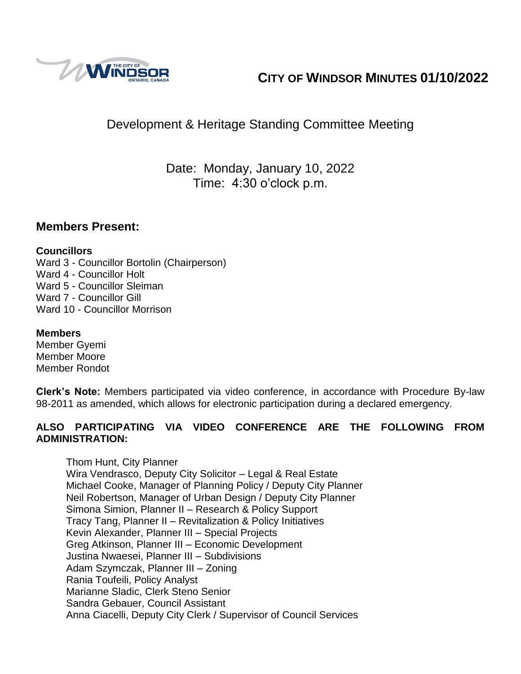

# **CITY OF WINDSOR MINUTES 01/10/2022**

# Development & Heritage Standing Committee Meeting

Date: Monday, January 10, 2022 Time: 4:30 o'clock p.m.

## **Members Present:**

#### **Councillors**

Ward 3 - Councillor Bortolin (Chairperson) Ward 4 - Councillor Holt Ward 5 - Councillor Sleiman Ward 7 - Councillor Gill Ward 10 - Councillor Morrison

## **Members**

Member Gyemi Member Moore Member Rondot

**Clerk's Note:** Members participated via video conference, in accordance with Procedure By-law 98-2011 as amended, which allows for electronic participation during a declared emergency.

#### **ALSO PARTICIPATING VIA VIDEO CONFERENCE ARE THE FOLLOWING FROM ADMINISTRATION:**

Thom Hunt, City Planner Wira Vendrasco, Deputy City Solicitor – Legal & Real Estate Michael Cooke, Manager of Planning Policy / Deputy City Planner Neil Robertson, Manager of Urban Design / Deputy City Planner Simona Simion, Planner II – Research & Policy Support Tracy Tang, Planner II – Revitalization & Policy Initiatives Kevin Alexander, Planner III – Special Projects Greg Atkinson, Planner III – Economic Development Justina Nwaesei, Planner III – Subdivisions Adam Szymczak, Planner III – Zoning Rania Toufeili, Policy Analyst Marianne Sladic, Clerk Steno Senior Sandra Gebauer, Council Assistant Anna Ciacelli, Deputy City Clerk / Supervisor of Council Services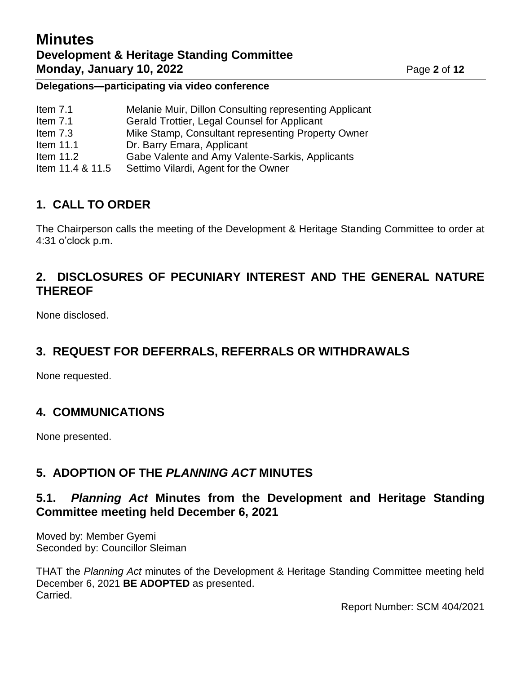# **Minutes Development & Heritage Standing Committee Monday, January 10, 2022** Page 2 of 12

#### **Delegations—participating via video conference**

| Item $7.1$       | Melanie Muir, Dillon Consulting representing Applicant |
|------------------|--------------------------------------------------------|
| Item $7.1$       | Gerald Trottier, Legal Counsel for Applicant           |
| Item 7.3         | Mike Stamp, Consultant representing Property Owner     |
| Item $11.1$      | Dr. Barry Emara, Applicant                             |
| Item $11.2$      | Gabe Valente and Amy Valente-Sarkis, Applicants        |
| Item 11.4 & 11.5 | Settimo Vilardi, Agent for the Owner                   |

# **1. CALL TO ORDER**

The Chairperson calls the meeting of the Development & Heritage Standing Committee to order at 4:31 o'clock p.m.

# **2. DISCLOSURES OF PECUNIARY INTEREST AND THE GENERAL NATURE THEREOF**

None disclosed.

# **3. REQUEST FOR DEFERRALS, REFERRALS OR WITHDRAWALS**

None requested.

# **4. COMMUNICATIONS**

None presented.

# **5. ADOPTION OF THE** *PLANNING ACT* **MINUTES**

## **5.1.** *Planning Act* **Minutes from the Development and Heritage Standing Committee meeting held December 6, 2021**

Moved by: Member Gyemi Seconded by: Councillor Sleiman

THAT the *Planning Act* minutes of the Development & Heritage Standing Committee meeting held December 6, 2021 **BE ADOPTED** as presented. Carried.

Report Number: SCM 404/2021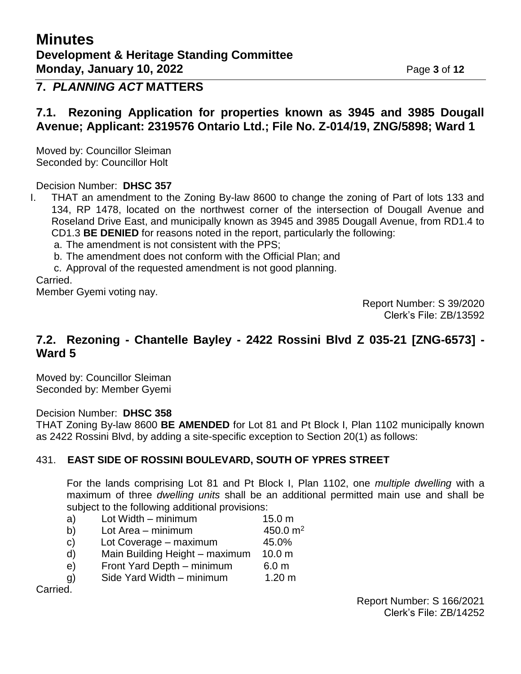# **7.** *PLANNING ACT* **MATTERS**

### **7.1. Rezoning Application for properties known as 3945 and 3985 Dougall Avenue; Applicant: 2319576 Ontario Ltd.; File No. Z-014/19, ZNG/5898; Ward 1**

Moved by: Councillor Sleiman Seconded by: Councillor Holt

Decision Number: **DHSC 357**

- I. THAT an amendment to the Zoning By-law 8600 to change the zoning of Part of lots 133 and 134, RP 1478, located on the northwest corner of the intersection of Dougall Avenue and Roseland Drive East, and municipally known as 3945 and 3985 Dougall Avenue, from RD1.4 to CD1.3 **BE DENIED** for reasons noted in the report, particularly the following:
	- a. The amendment is not consistent with the PPS;
	- b. The amendment does not conform with the Official Plan; and

c. Approval of the requested amendment is not good planning.

Carried.

Member Gyemi voting nay.

Report Number: S 39/2020 Clerk's File: ZB/13592

## **7.2. Rezoning - Chantelle Bayley - 2422 Rossini Blvd Z 035-21 [ZNG-6573] - Ward 5**

Moved by: Councillor Sleiman Seconded by: Member Gyemi

Decision Number: **DHSC 358**

THAT Zoning By-law 8600 **BE AMENDED** for Lot 81 and Pt Block I, Plan 1102 municipally known as 2422 Rossini Blvd, by adding a site-specific exception to Section 20(1) as follows:

#### 431. **EAST SIDE OF ROSSINI BOULEVARD, SOUTH OF YPRES STREET**

For the lands comprising Lot 81 and Pt Block I, Plan 1102, one *multiple dwelling* with a maximum of three *dwelling units* shall be an additional permitted main use and shall be subject to the following additional provisions:

- a) Lot Width minimum 15.0 m
- b) Lot Area minimum  $450.0 \text{ m}^2$
- c) Lot Coverage maximum 45.0%
- d) Main Building Height maximum 10.0 m
- e) Front Yard Depth minimum 6.0 m
- g) Side Yard Width minimum 1.20 m

Carried.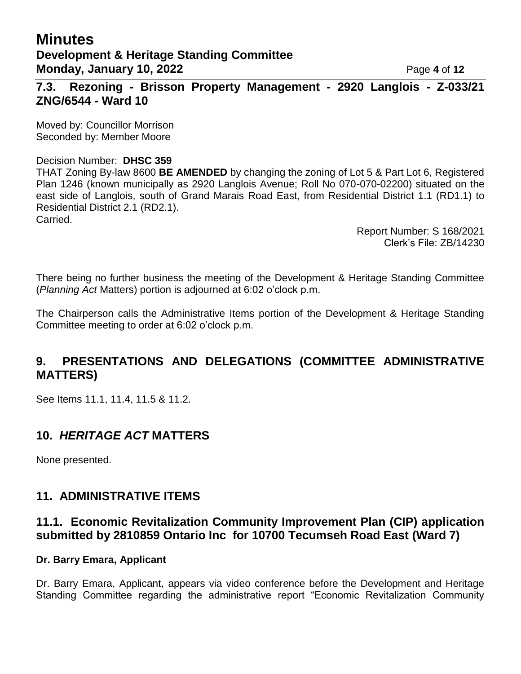# **Minutes Development & Heritage Standing Committee Monday, January 10, 2022** Page 4 of 12

**7.3. Rezoning - Brisson Property Management - 2920 Langlois - Z-033/21 ZNG/6544 - Ward 10**

Moved by: Councillor Morrison Seconded by: Member Moore

#### Decision Number: **DHSC 359**

THAT Zoning By-law 8600 **BE AMENDED** by changing the zoning of Lot 5 & Part Lot 6, Registered Plan 1246 (known municipally as 2920 Langlois Avenue; Roll No 070-070-02200) situated on the east side of Langlois, south of Grand Marais Road East, from Residential District 1.1 (RD1.1) to Residential District 2.1 (RD2.1). Carried.

> Report Number: S 168/2021 Clerk's File: ZB/14230

There being no further business the meeting of the Development & Heritage Standing Committee (*Planning Act* Matters) portion is adjourned at 6:02 o'clock p.m.

The Chairperson calls the Administrative Items portion of the Development & Heritage Standing Committee meeting to order at 6:02 o'clock p.m.

# **9. PRESENTATIONS AND DELEGATIONS (COMMITTEE ADMINISTRATIVE MATTERS)**

See Items 11.1, 11.4, 11.5 & 11.2.

# **10.** *HERITAGE ACT* **MATTERS**

None presented.

#### **11. ADMINISTRATIVE ITEMS**

## **11.1. Economic Revitalization Community Improvement Plan (CIP) application submitted by 2810859 Ontario Inc for 10700 Tecumseh Road East (Ward 7)**

#### **Dr. Barry Emara, Applicant**

Dr. Barry Emara, Applicant, appears via video conference before the Development and Heritage Standing Committee regarding the administrative report "Economic Revitalization Community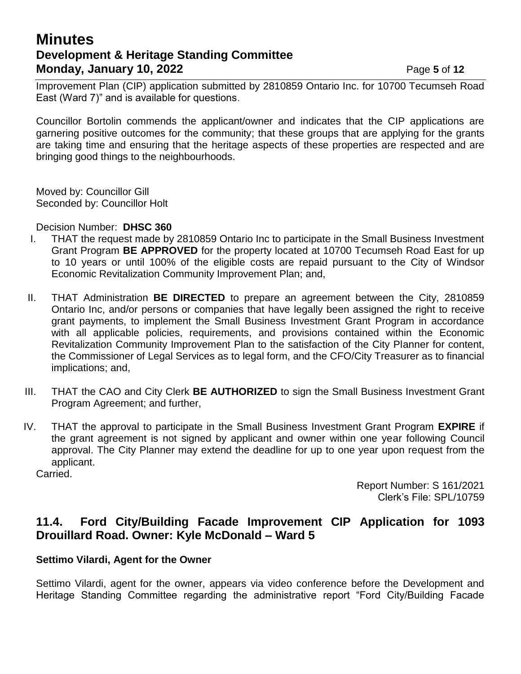# **Minutes Development & Heritage Standing Committee Monday, January 10, 2022 Page 5** of 12

Improvement Plan (CIP) application submitted by 2810859 Ontario Inc. for 10700 Tecumseh Road East (Ward 7)" and is available for questions.

Councillor Bortolin commends the applicant/owner and indicates that the CIP applications are garnering positive outcomes for the community; that these groups that are applying for the grants are taking time and ensuring that the heritage aspects of these properties are respected and are bringing good things to the neighbourhoods.

Moved by: Councillor Gill Seconded by: Councillor Holt

Decision Number: **DHSC 360**

- I. THAT the request made by 2810859 Ontario Inc to participate in the Small Business Investment Grant Program **BE APPROVED** for the property located at 10700 Tecumseh Road East for up to 10 years or until 100% of the eligible costs are repaid pursuant to the City of Windsor Economic Revitalization Community Improvement Plan; and,
- II. THAT Administration **BE DIRECTED** to prepare an agreement between the City, 2810859 Ontario Inc, and/or persons or companies that have legally been assigned the right to receive grant payments, to implement the Small Business Investment Grant Program in accordance with all applicable policies, requirements, and provisions contained within the Economic Revitalization Community Improvement Plan to the satisfaction of the City Planner for content, the Commissioner of Legal Services as to legal form, and the CFO/City Treasurer as to financial implications; and,
- III. THAT the CAO and City Clerk **BE AUTHORIZED** to sign the Small Business Investment Grant Program Agreement; and further,
- IV. THAT the approval to participate in the Small Business Investment Grant Program **EXPIRE** if the grant agreement is not signed by applicant and owner within one year following Council approval. The City Planner may extend the deadline for up to one year upon request from the applicant.

Carried.

Report Number: S 161/2021 Clerk's File: SPL/10759

## **11.4. Ford City/Building Facade Improvement CIP Application for 1093 Drouillard Road. Owner: Kyle McDonald – Ward 5**

#### **Settimo Vilardi, Agent for the Owner**

Settimo Vilardi, agent for the owner, appears via video conference before the Development and Heritage Standing Committee regarding the administrative report "Ford City/Building Facade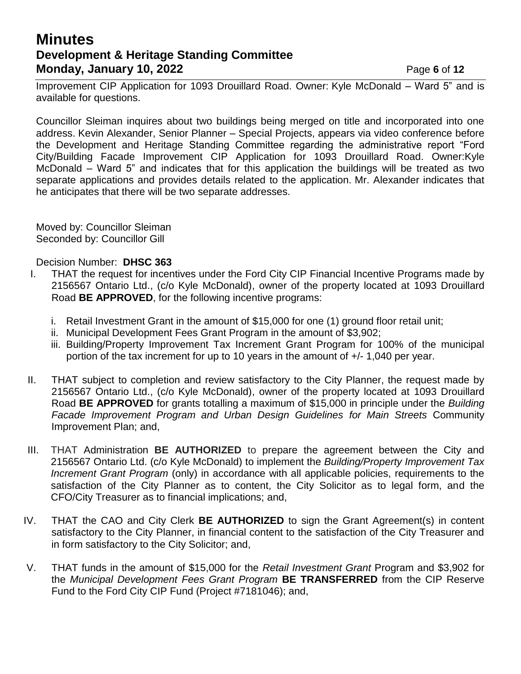# **Minutes Development & Heritage Standing Committee Monday, January 10, 2022 Page 6** of 12

Improvement CIP Application for 1093 Drouillard Road. Owner: Kyle McDonald – Ward 5" and is available for questions.

Councillor Sleiman inquires about two buildings being merged on title and incorporated into one address. Kevin Alexander, Senior Planner – Special Projects, appears via video conference before the Development and Heritage Standing Committee regarding the administrative report "Ford City/Building Facade Improvement CIP Application for 1093 Drouillard Road. Owner:Kyle McDonald – Ward 5" and indicates that for this application the buildings will be treated as two separate applications and provides details related to the application. Mr. Alexander indicates that he anticipates that there will be two separate addresses.

Moved by: Councillor Sleiman Seconded by: Councillor Gill

- I. THAT the request for incentives under the Ford City CIP Financial Incentive Programs made by 2156567 Ontario Ltd., (c/o Kyle McDonald), owner of the property located at 1093 Drouillard Road **BE APPROVED**, for the following incentive programs:
	- i. Retail Investment Grant in the amount of \$15,000 for one (1) ground floor retail unit;
	- ii. Municipal Development Fees Grant Program in the amount of \$3,902;
	- iii. Building/Property Improvement Tax Increment Grant Program for 100% of the municipal portion of the tax increment for up to 10 years in the amount of +/- 1,040 per year.
- II. THAT subject to completion and review satisfactory to the City Planner, the request made by 2156567 Ontario Ltd., (c/o Kyle McDonald), owner of the property located at 1093 Drouillard Road **BE APPROVED** for grants totalling a maximum of \$15,000 in principle under the *Building Facade Improvement Program and Urban Design Guidelines for Main Streets* Community Improvement Plan; and,
- III. THAT Administration **BE AUTHORIZED** to prepare the agreement between the City and 2156567 Ontario Ltd. (c/o Kyle McDonald) to implement the *Building/Property Improvement Tax Increment Grant Program* (only) in accordance with all applicable policies, requirements to the satisfaction of the City Planner as to content, the City Solicitor as to legal form, and the CFO/City Treasurer as to financial implications; and,
- IV. THAT the CAO and City Clerk **BE AUTHORIZED** to sign the Grant Agreement(s) in content satisfactory to the City Planner, in financial content to the satisfaction of the City Treasurer and in form satisfactory to the City Solicitor; and,
- V. THAT funds in the amount of \$15,000 for the *Retail Investment Grant* Program and \$3,902 for the *Municipal Development Fees Grant Program* **BE TRANSFERRED** from the CIP Reserve Fund to the Ford City CIP Fund (Project #7181046); and,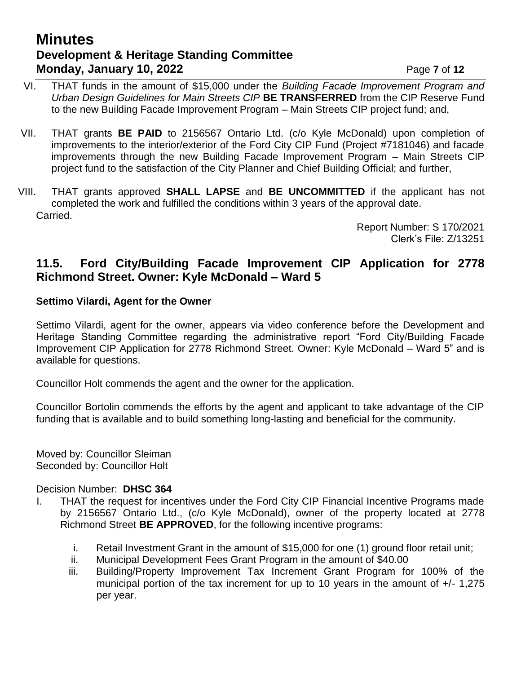# **Minutes Development & Heritage Standing Committee Monday, January 10, 2022** Page **7** of 12

- VI. THAT funds in the amount of \$15,000 under the *Building Facade Improvement Program and Urban Design Guidelines for Main Streets CIP* **BE TRANSFERRED** from the CIP Reserve Fund to the new Building Facade Improvement Program – Main Streets CIP project fund; and,
- VII. THAT grants **BE PAID** to 2156567 Ontario Ltd. (c/o Kyle McDonald) upon completion of improvements to the interior/exterior of the Ford City CIP Fund (Project #7181046) and facade improvements through the new Building Facade Improvement Program – Main Streets CIP project fund to the satisfaction of the City Planner and Chief Building Official; and further,
- VIII. THAT grants approved **SHALL LAPSE** and **BE UNCOMMITTED** if the applicant has not completed the work and fulfilled the conditions within 3 years of the approval date. Carried.

Report Number: S 170/2021 Clerk's File: Z/13251

## **11.5. Ford City/Building Facade Improvement CIP Application for 2778 Richmond Street. Owner: Kyle McDonald – Ward 5**

#### **Settimo Vilardi, Agent for the Owner**

Settimo Vilardi, agent for the owner, appears via video conference before the Development and Heritage Standing Committee regarding the administrative report "Ford City/Building Facade Improvement CIP Application for 2778 Richmond Street. Owner: Kyle McDonald – Ward 5" and is available for questions.

Councillor Holt commends the agent and the owner for the application.

Councillor Bortolin commends the efforts by the agent and applicant to take advantage of the CIP funding that is available and to build something long-lasting and beneficial for the community.

Moved by: Councillor Sleiman Seconded by: Councillor Holt

- I. THAT the request for incentives under the Ford City CIP Financial Incentive Programs made by 2156567 Ontario Ltd., (c/o Kyle McDonald), owner of the property located at 2778 Richmond Street **BE APPROVED**, for the following incentive programs:
	- i. Retail Investment Grant in the amount of \$15,000 for one (1) ground floor retail unit;
	- ii. Municipal Development Fees Grant Program in the amount of \$40.00
	- iii. Building/Property Improvement Tax Increment Grant Program for 100% of the municipal portion of the tax increment for up to 10 years in the amount of +/- 1,275 per year.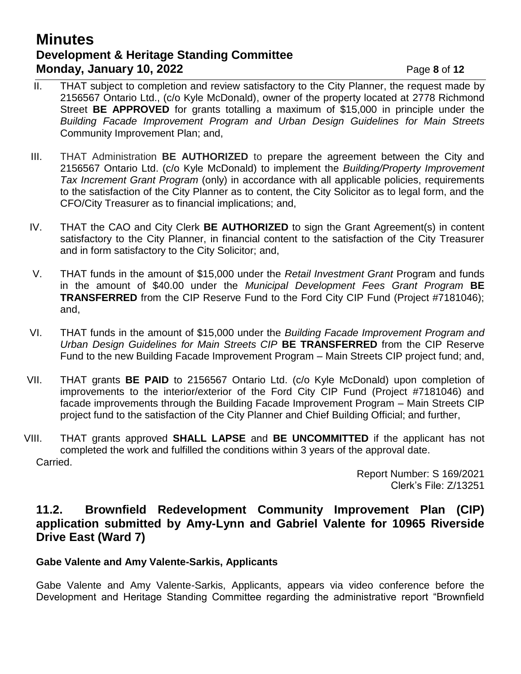# **Minutes Development & Heritage Standing Committee Monday, January 10, 2022 Page 8** of 12

- II. THAT subject to completion and review satisfactory to the City Planner, the request made by 2156567 Ontario Ltd., (c/o Kyle McDonald), owner of the property located at 2778 Richmond Street **BE APPROVED** for grants totalling a maximum of \$15,000 in principle under the *Building Facade Improvement Program and Urban Design Guidelines for Main Streets* Community Improvement Plan; and,
- III. THAT Administration **BE AUTHORIZED** to prepare the agreement between the City and 2156567 Ontario Ltd. (c/o Kyle McDonald) to implement the *Building/Property Improvement Tax Increment Grant Program* (only) in accordance with all applicable policies, requirements to the satisfaction of the City Planner as to content, the City Solicitor as to legal form, and the CFO/City Treasurer as to financial implications; and,
- IV. THAT the CAO and City Clerk **BE AUTHORIZED** to sign the Grant Agreement(s) in content satisfactory to the City Planner, in financial content to the satisfaction of the City Treasurer and in form satisfactory to the City Solicitor; and,
- V. THAT funds in the amount of \$15,000 under the *Retail Investment Grant* Program and funds in the amount of \$40.00 under the *Municipal Development Fees Grant Program* **BE TRANSFERRED** from the CIP Reserve Fund to the Ford City CIP Fund (Project #7181046); and,
- VI. THAT funds in the amount of \$15,000 under the *Building Facade Improvement Program and Urban Design Guidelines for Main Streets CIP* **BE TRANSFERRED** from the CIP Reserve Fund to the new Building Facade Improvement Program – Main Streets CIP project fund; and,
- VII. THAT grants **BE PAID** to 2156567 Ontario Ltd. (c/o Kyle McDonald) upon completion of improvements to the interior/exterior of the Ford City CIP Fund (Project #7181046) and facade improvements through the Building Facade Improvement Program – Main Streets CIP project fund to the satisfaction of the City Planner and Chief Building Official; and further,
- VIII. THAT grants approved **SHALL LAPSE** and **BE UNCOMMITTED** if the applicant has not completed the work and fulfilled the conditions within 3 years of the approval date. Carried.

Report Number: S 169/2021 Clerk's File: Z/13251

## **11.2. Brownfield Redevelopment Community Improvement Plan (CIP) application submitted by Amy-Lynn and Gabriel Valente for 10965 Riverside Drive East (Ward 7)**

#### **Gabe Valente and Amy Valente-Sarkis, Applicants**

Gabe Valente and Amy Valente-Sarkis, Applicants, appears via video conference before the Development and Heritage Standing Committee regarding the administrative report "Brownfield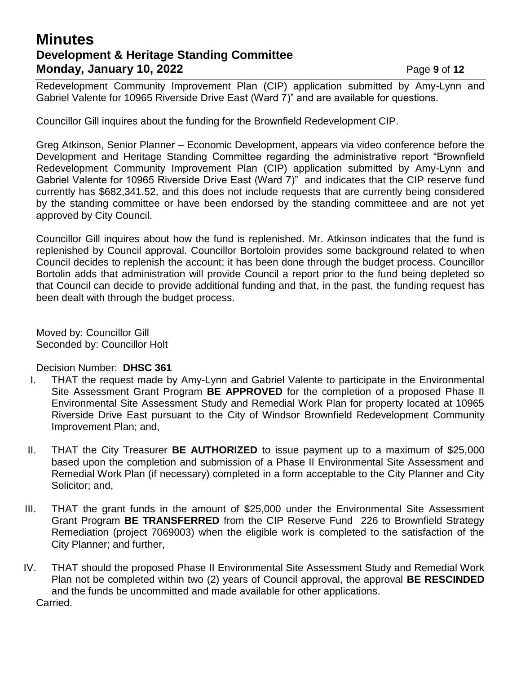# **Minutes Development & Heritage Standing Committee Monday, January 10, 2022** Page 9 of 12

Redevelopment Community Improvement Plan (CIP) application submitted by Amy-Lynn and Gabriel Valente for 10965 Riverside Drive East (Ward 7)" and are available for questions.

Councillor Gill inquires about the funding for the Brownfield Redevelopment CIP.

Greg Atkinson, Senior Planner – Economic Development, appears via video conference before the Development and Heritage Standing Committee regarding the administrative report "Brownfield Redevelopment Community Improvement Plan (CIP) application submitted by Amy-Lynn and Gabriel Valente for 10965 Riverside Drive East (Ward 7)" and indicates that the CIP reserve fund currently has \$682,341.52, and this does not include requests that are currently being considered by the standing committee or have been endorsed by the standing committeee and are not yet approved by City Council.

Councillor Gill inquires about how the fund is replenished. Mr. Atkinson indicates that the fund is replenished by Council approval. Councillor Bortoloin provides some background related to when Council decides to replenish the account; it has been done through the budget process. Councillor Bortolin adds that administration will provide Council a report prior to the fund being depleted so that Council can decide to provide additional funding and that, in the past, the funding request has been dealt with through the budget process.

Moved by: Councillor Gill Seconded by: Councillor Holt

- I. THAT the request made by Amy-Lynn and Gabriel Valente to participate in the Environmental Site Assessment Grant Program **BE APPROVED** for the completion of a proposed Phase II Environmental Site Assessment Study and Remedial Work Plan for property located at 10965 Riverside Drive East pursuant to the City of Windsor Brownfield Redevelopment Community Improvement Plan; and,
- II. THAT the City Treasurer **BE AUTHORIZED** to issue payment up to a maximum of \$25,000 based upon the completion and submission of a Phase II Environmental Site Assessment and Remedial Work Plan (if necessary) completed in a form acceptable to the City Planner and City Solicitor; and,
- III. THAT the grant funds in the amount of \$25,000 under the Environmental Site Assessment Grant Program **BE TRANSFERRED** from the CIP Reserve Fund 226 to Brownfield Strategy Remediation (project 7069003) when the eligible work is completed to the satisfaction of the City Planner; and further,
- IV. THAT should the proposed Phase II Environmental Site Assessment Study and Remedial Work Plan not be completed within two (2) years of Council approval, the approval **BE RESCINDED** and the funds be uncommitted and made available for other applications. Carried.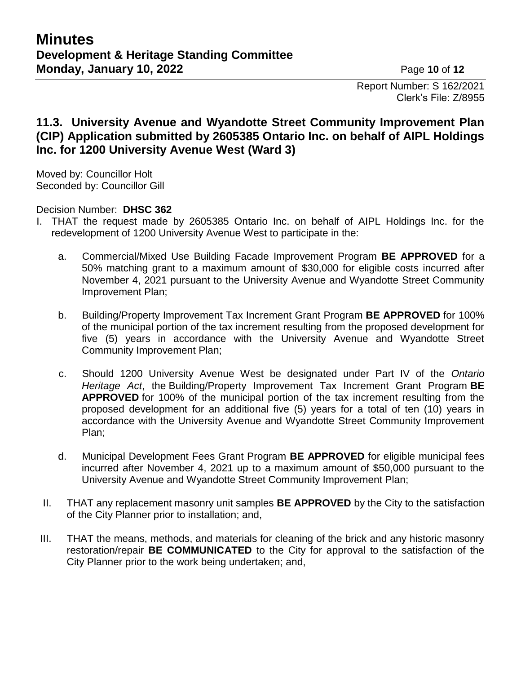Report Number: S 162/2021 Clerk's File: Z/8955

# **11.3. University Avenue and Wyandotte Street Community Improvement Plan (CIP) Application submitted by 2605385 Ontario Inc. on behalf of AIPL Holdings Inc. for 1200 University Avenue West (Ward 3)**

Moved by: Councillor Holt Seconded by: Councillor Gill

- I. THAT the request made by 2605385 Ontario Inc. on behalf of AIPL Holdings Inc. for the redevelopment of 1200 University Avenue West to participate in the:
	- a. Commercial/Mixed Use Building Facade Improvement Program **BE APPROVED** for a 50% matching grant to a maximum amount of \$30,000 for eligible costs incurred after November 4, 2021 pursuant to the University Avenue and Wyandotte Street Community Improvement Plan;
	- b. Building/Property Improvement Tax Increment Grant Program **BE APPROVED** for 100% of the municipal portion of the tax increment resulting from the proposed development for five (5) years in accordance with the University Avenue and Wyandotte Street Community Improvement Plan;
	- c. Should 1200 University Avenue West be designated under Part IV of the *Ontario Heritage Act*, the Building/Property Improvement Tax Increment Grant Program **BE APPROVED** for 100% of the municipal portion of the tax increment resulting from the proposed development for an additional five (5) years for a total of ten (10) years in accordance with the University Avenue and Wyandotte Street Community Improvement Plan;
	- d. Municipal Development Fees Grant Program **BE APPROVED** for eligible municipal fees incurred after November 4, 2021 up to a maximum amount of \$50,000 pursuant to the University Avenue and Wyandotte Street Community Improvement Plan;
	- II. THAT any replacement masonry unit samples **BE APPROVED** by the City to the satisfaction of the City Planner prior to installation; and,
- III. THAT the means, methods, and materials for cleaning of the brick and any historic masonry restoration/repair **BE COMMUNICATED** to the City for approval to the satisfaction of the City Planner prior to the work being undertaken; and,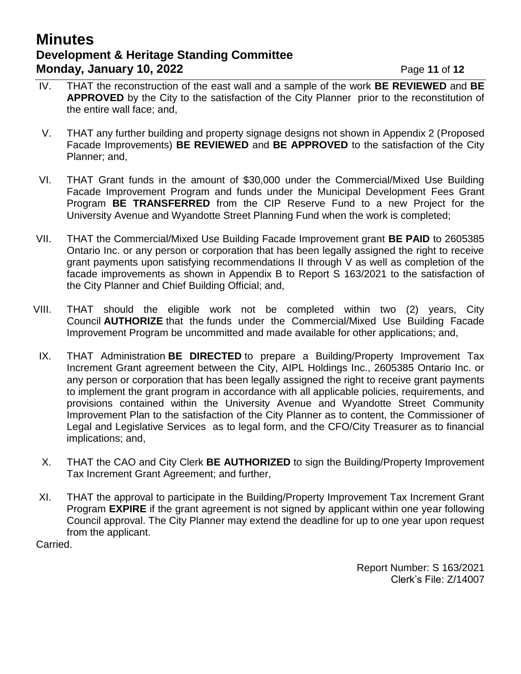# **Minutes Development & Heritage Standing Committee Monday, January 10, 2022** Page 11 of 12

- IV. THAT the reconstruction of the east wall and a sample of the work **BE REVIEWED** and **BE APPROVED** by the City to the satisfaction of the City Planner prior to the reconstitution of the entire wall face; and,
- V. THAT any further building and property signage designs not shown in Appendix 2 (Proposed Facade Improvements) **BE REVIEWED** and **BE APPROVED** to the satisfaction of the City Planner; and,
- VI. THAT Grant funds in the amount of \$30,000 under the Commercial/Mixed Use Building Facade Improvement Program and funds under the Municipal Development Fees Grant Program **BE TRANSFERRED** from the CIP Reserve Fund to a new Project for the University Avenue and Wyandotte Street Planning Fund when the work is completed;
- VII. THAT the Commercial/Mixed Use Building Facade Improvement grant **BE PAID** to 2605385 Ontario Inc. or any person or corporation that has been legally assigned the right to receive grant payments upon satisfying recommendations II through V as well as completion of the facade improvements as shown in Appendix B to Report S 163/2021 to the satisfaction of the City Planner and Chief Building Official; and,
- VIII. THAT should the eligible work not be completed within two (2) years, City Council **AUTHORIZE** that the funds under the Commercial/Mixed Use Building Facade Improvement Program be uncommitted and made available for other applications; and,
- IX. THAT Administration **BE DIRECTED** to prepare a Building/Property Improvement Tax Increment Grant agreement between the City, AIPL Holdings Inc., 2605385 Ontario Inc. or any person or corporation that has been legally assigned the right to receive grant payments to implement the grant program in accordance with all applicable policies, requirements, and provisions contained within the University Avenue and Wyandotte Street Community Improvement Plan to the satisfaction of the City Planner as to content, the Commissioner of Legal and Legislative Services as to legal form, and the CFO/City Treasurer as to financial implications; and,
- X. THAT the CAO and City Clerk **BE AUTHORIZED** to sign the Building/Property Improvement Tax Increment Grant Agreement; and further,
- XI. THAT the approval to participate in the Building/Property Improvement Tax Increment Grant Program **EXPIRE** if the grant agreement is not signed by applicant within one year following Council approval. The City Planner may extend the deadline for up to one year upon request from the applicant.

Carried.

Report Number: S 163/2021 Clerk's File: Z/14007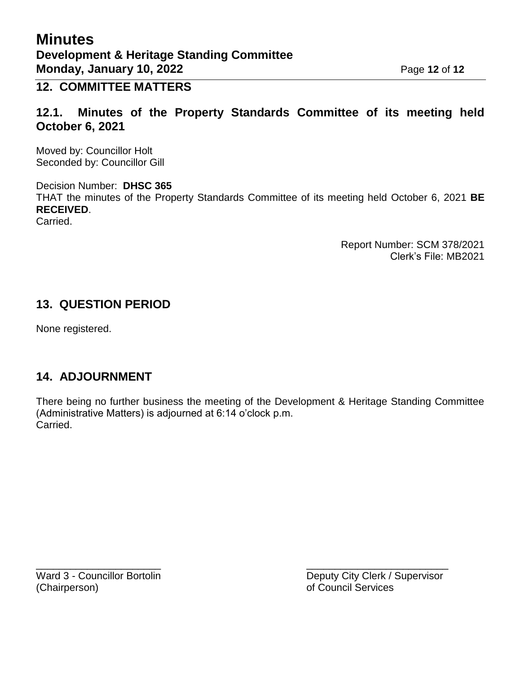# **12. COMMITTEE MATTERS**

**12.1. Minutes of the Property Standards Committee of its meeting held October 6, 2021**

Moved by: Councillor Holt Seconded by: Councillor Gill

Decision Number: **DHSC 365** THAT the minutes of the Property Standards Committee of its meeting held October 6, 2021 **BE RECEIVED**. Carried.

> Report Number: SCM 378/2021 Clerk's File: MB2021

## **13. QUESTION PERIOD**

None registered.

# **14. ADJOURNMENT**

There being no further business the meeting of the Development & Heritage Standing Committee (Administrative Matters) is adjourned at 6:14 o'clock p.m. Carried.

 $\overline{\phantom{a}}$  , and the contract of the contract of the contract of the contract of the contract of the contract of the contract of the contract of the contract of the contract of the contract of the contract of the contrac

Ward 3 - Councillor Bortolin **Deputy City Clerk / Supervisor** (Chairperson) of Council Services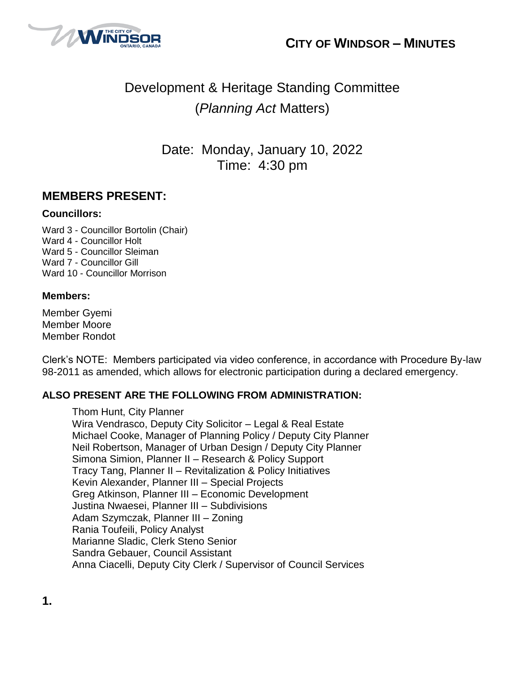



# Development & Heritage Standing Committee (*Planning Act* Matters)

Date: Monday, January 10, 2022 Time: 4:30 pm

# **MEMBERS PRESENT:**

#### **Councillors:**

Ward 3 - Councillor Bortolin (Chair) Ward 4 - Councillor Holt Ward 5 - Councillor Sleiman Ward 7 - Councillor Gill Ward 10 - Councillor Morrison

#### **Members:**

Member Gyemi Member Moore Member Rondot

Clerk's NOTE: Members participated via video conference, in accordance with Procedure By-law 98-2011 as amended, which allows for electronic participation during a declared emergency.

#### **ALSO PRESENT ARE THE FOLLOWING FROM ADMINISTRATION:**

Thom Hunt, City Planner Wira Vendrasco, Deputy City Solicitor – Legal & Real Estate Michael Cooke, Manager of Planning Policy / Deputy City Planner Neil Robertson, Manager of Urban Design / Deputy City Planner Simona Simion, Planner II – Research & Policy Support Tracy Tang, Planner II – Revitalization & Policy Initiatives Kevin Alexander, Planner III – Special Projects Greg Atkinson, Planner III – Economic Development Justina Nwaesei, Planner III – Subdivisions Adam Szymczak, Planner III – Zoning Rania Toufeili, Policy Analyst Marianne Sladic, Clerk Steno Senior Sandra Gebauer, Council Assistant Anna Ciacelli, Deputy City Clerk / Supervisor of Council Services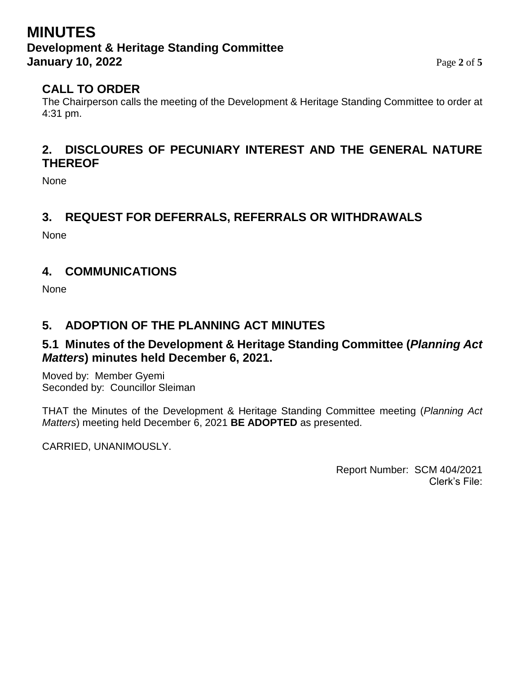# **MINUTES Development & Heritage Standing Committee January 10, 2022** Page 2 of 5

# **CALL TO ORDER**

The Chairperson calls the meeting of the Development & Heritage Standing Committee to order at 4:31 pm.

# **2. DISCLOURES OF PECUNIARY INTEREST AND THE GENERAL NATURE THEREOF**

None

# **3. REQUEST FOR DEFERRALS, REFERRALS OR WITHDRAWALS**

None

# **4. COMMUNICATIONS**

None

# **5. ADOPTION OF THE PLANNING ACT MINUTES**

# **5.1 Minutes of the Development & Heritage Standing Committee (***Planning Act Matters***) minutes held December 6, 2021.**

Moved by: Member Gyemi Seconded by: Councillor Sleiman

THAT the Minutes of the Development & Heritage Standing Committee meeting (*Planning Act Matters*) meeting held December 6, 2021 **BE ADOPTED** as presented.

CARRIED, UNANIMOUSLY.

Report Number: SCM 404/2021 Clerk's File: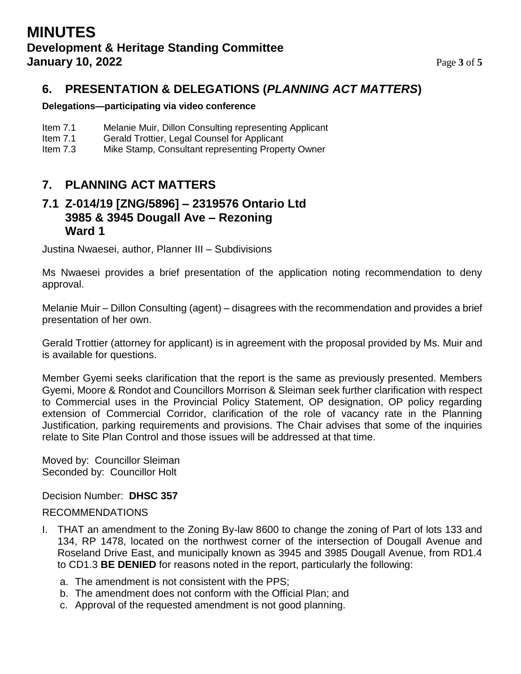# **6. PRESENTATION & DELEGATIONS (***PLANNING ACT MATTERS***)**

#### **Delegations—participating via video conference**

- Item 7.1 Melanie Muir, Dillon Consulting representing Applicant
- Item 7.1 Gerald Trottier, Legal Counsel for Applicant
- Item 7.3 Mike Stamp, Consultant representing Property Owner

## **7. PLANNING ACT MATTERS**

## **7.1 Z-014/19 [ZNG/5896] – 2319576 Ontario Ltd 3985 & 3945 Dougall Ave – Rezoning Ward 1**

Justina Nwaesei, author, Planner III – Subdivisions

Ms Nwaesei provides a brief presentation of the application noting recommendation to deny approval.

Melanie Muir – Dillon Consulting (agent) – disagrees with the recommendation and provides a brief presentation of her own.

Gerald Trottier (attorney for applicant) is in agreement with the proposal provided by Ms. Muir and is available for questions.

Member Gyemi seeks clarification that the report is the same as previously presented. Members Gyemi, Moore & Rondot and Councillors Morrison & Sleiman seek further clarification with respect to Commercial uses in the Provincial Policy Statement, OP designation, OP policy regarding extension of Commercial Corridor, clarification of the role of vacancy rate in the Planning Justification, parking requirements and provisions. The Chair advises that some of the inquiries relate to Site Plan Control and those issues will be addressed at that time.

Moved by: Councillor Sleiman Seconded by: Councillor Holt

Decision Number: **DHSC 357**

#### RECOMMENDATIONS

- I. THAT an amendment to the Zoning By-law 8600 to change the zoning of Part of lots 133 and 134, RP 1478, located on the northwest corner of the intersection of Dougall Avenue and Roseland Drive East, and municipally known as 3945 and 3985 Dougall Avenue, from RD1.4 to CD1.3 **BE DENIED** for reasons noted in the report, particularly the following:
	- a. The amendment is not consistent with the PPS;
	- b. The amendment does not conform with the Official Plan; and
	- c. Approval of the requested amendment is not good planning.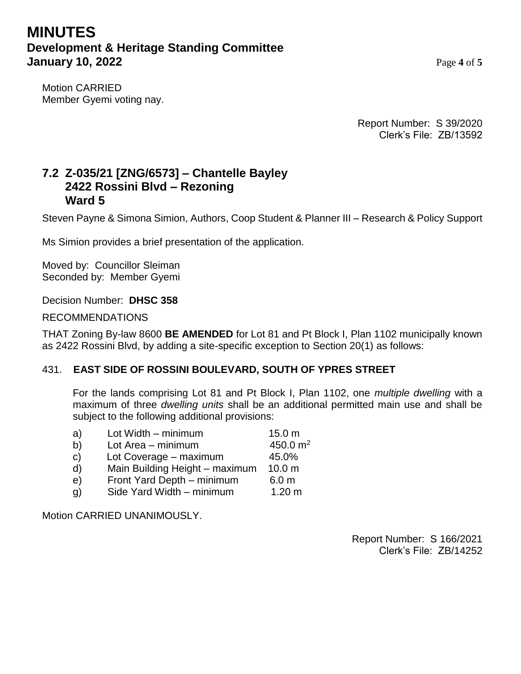# **MINUTES Development & Heritage Standing Committee January 10, 2022** Page 4 of 5

Motion CARRIED Member Gyemi voting nay.

> Report Number: S 39/2020 Clerk's File: ZB/13592

# **7.2 Z-035/21 [ZNG/6573] – Chantelle Bayley 2422 Rossini Blvd – Rezoning Ward 5**

Steven Payne & Simona Simion, Authors, Coop Student & Planner III – Research & Policy Support

Ms Simion provides a brief presentation of the application.

Moved by: Councillor Sleiman Seconded by: Member Gyemi

Decision Number: **DHSC 358**

RECOMMENDATIONS

THAT Zoning By-law 8600 **BE AMENDED** for Lot 81 and Pt Block I, Plan 1102 municipally known as 2422 Rossini Blvd, by adding a site-specific exception to Section 20(1) as follows:

#### 431. **EAST SIDE OF ROSSINI BOULEVARD, SOUTH OF YPRES STREET**

For the lands comprising Lot 81 and Pt Block I, Plan 1102, one *multiple dwelling* with a maximum of three *dwelling units* shall be an additional permitted main use and shall be subject to the following additional provisions:

| a)           | Lot Width - minimum            | 15.0 <sub>m</sub> |
|--------------|--------------------------------|-------------------|
| b)           | Lot Area - minimum             | 450.0 $m2$        |
| $\mathbf{C}$ | Lot Coverage - maximum         | 45.0%             |
| d)           | Main Building Height - maximum | 10.0 <sub>m</sub> |
| e)           | Front Yard Depth - minimum     | 6.0 <sub>m</sub>  |
| q)           | Side Yard Width - minimum      | 1.20 <sub>m</sub> |
|              |                                |                   |

Motion CARRIED UNANIMOUSLY.

Report Number: S 166/2021 Clerk's File: ZB/14252